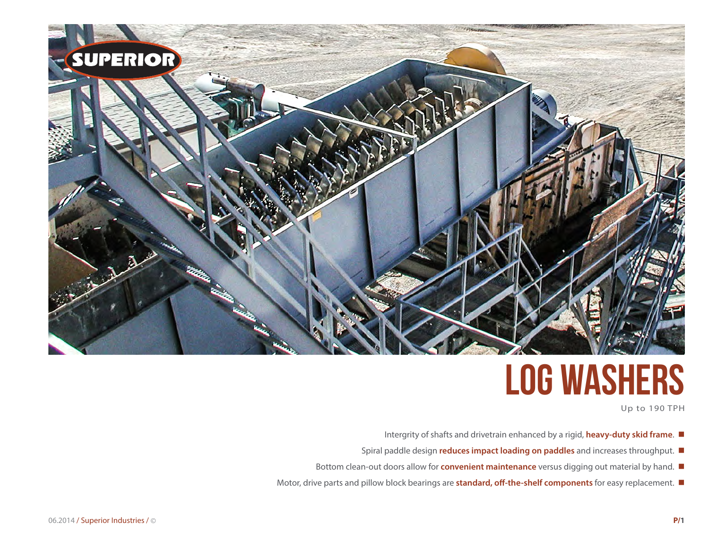

# **Log Washers**

Up to 190 TPH

- Intergrity of shafts and drivetrain enhanced by a rigid, **heavy-duty skid frame**.
- Spiral paddle design **reduces impact loading on paddles** and increases throughput.  $\blacksquare$
- Bottom clean-out doors allow for **convenient maintenance** versus digging out material by hand.  $\blacksquare$
- Motor, drive parts and pillow block bearings are **standard, off-the-shelf components** for easy replacement.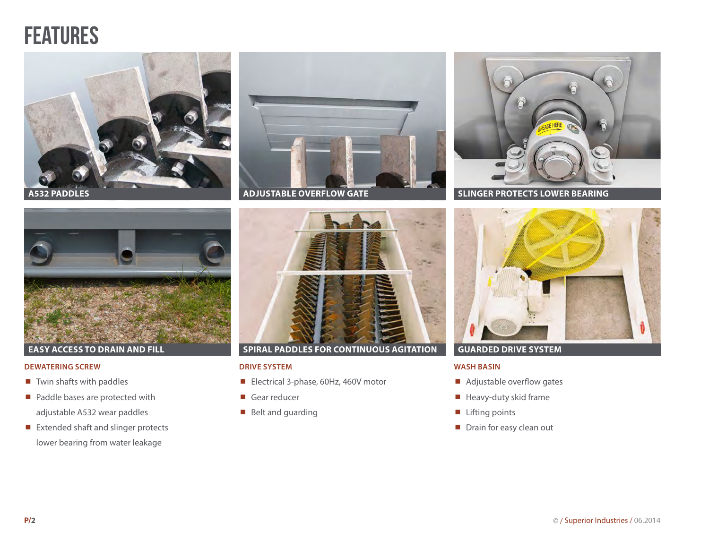## **FEATURES**







**SLINGER PROTECTS LOWER BEARING**



### **EASY ACCESS TO DRAIN AND FILL**

### **DEWATERING SCREW**

- $\blacksquare$  Twin shafts with paddles
- Paddle bases are protected with adjustable A532 wear paddles
- Extended shaft and slinger protects lower bearing from water leakage



### **SPIRAL PADDLES FOR CONTINUOUS AGITATION GUARDED DRIVE SYSTEM**

### **DRIVE SYSTEM**

- Electrical 3-phase, 60Hz, 460V motor
- Gear reducer
- Belt and guarding



### **WASH BASIN**

- Adjustable overflow gates
- $\blacksquare$  Heavy-duty skid frame
- Lifting points
- Drain for easy clean out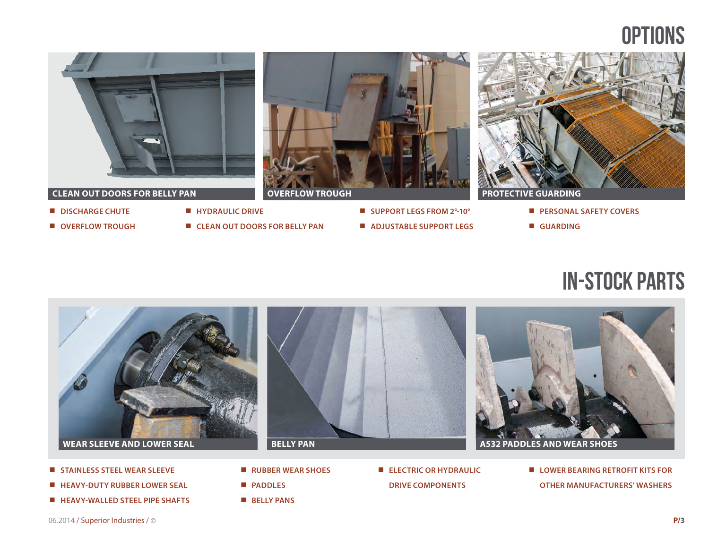## **OPTIONS**



- **DISCHARGE CHUTE**
- **OVERFLOW TROUGH**
- **HYDRAULIC DRIVE**
- **CLEAN OUT DOORS FOR BELLY PAN**



- **SUPPORT LEGS FROM 2°-10°**
- **ADJUSTABLE SUPPORT LEGS**



- **PERSONAL SAFETY COVERS**
- **GUARDING**

## in-stock parts



- **STAINLESS STEEL WEAR SLEEVE**
- **HEAVY-DUTY RUBBER LOWER SEAL**
- **HEAVY-WALLED STEEL PIPE SHAFTS**
- **RUBBER WEAR SHOES**
- **PADDLES**
- **BELLY PANS**
- **ELECTRIC OR HYDRAULIC DRIVE COMPONENTS**
- **LOWER BEARING RETROFIT KITS FOR OTHER MANUFACTURERS' WASHERS**